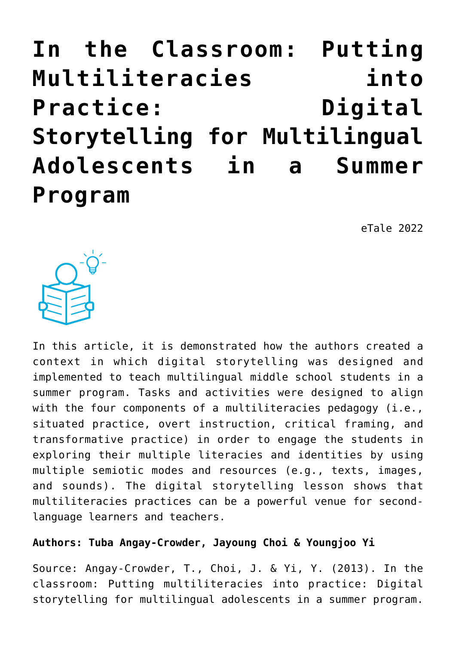**[In the Classroom: Putting](https://dev.taleafrica.com/2021/07/27/in-the-classroom-putting-multiliteracies-into-practice-digital-storytelling-for-multilingual-adolescents-in-a-summer-program-2/) [Multiliteracies into](https://dev.taleafrica.com/2021/07/27/in-the-classroom-putting-multiliteracies-into-practice-digital-storytelling-for-multilingual-adolescents-in-a-summer-program-2/) [Practice: Digital](https://dev.taleafrica.com/2021/07/27/in-the-classroom-putting-multiliteracies-into-practice-digital-storytelling-for-multilingual-adolescents-in-a-summer-program-2/) [Storytelling for Multilingual](https://dev.taleafrica.com/2021/07/27/in-the-classroom-putting-multiliteracies-into-practice-digital-storytelling-for-multilingual-adolescents-in-a-summer-program-2/) [Adolescents in a Summer](https://dev.taleafrica.com/2021/07/27/in-the-classroom-putting-multiliteracies-into-practice-digital-storytelling-for-multilingual-adolescents-in-a-summer-program-2/) [Program](https://dev.taleafrica.com/2021/07/27/in-the-classroom-putting-multiliteracies-into-practice-digital-storytelling-for-multilingual-adolescents-in-a-summer-program-2/)**

eTale 2022



In this article, it is demonstrated how the authors created a context in which digital storytelling was designed and implemented to teach multilingual middle school students in a summer program. Tasks and activities were designed to align with the four components of a multiliteracies pedagogy (i.e., situated practice, overt instruction, critical framing, and transformative practice) in order to engage the students in exploring their multiple literacies and identities by using multiple semiotic modes and resources (e.g., texts, images, and sounds). The digital storytelling lesson shows that multiliteracies practices can be a powerful venue for secondlanguage learners and teachers.

### **Authors: Tuba Angay-Crowder, Jayoung Choi & Youngjoo Yi**

Source: Angay-Crowder, T., Choi, J. & Yi, Y. (2013). In the classroom: Putting multiliteracies into practice: Digital storytelling for multilingual adolescents in a summer program.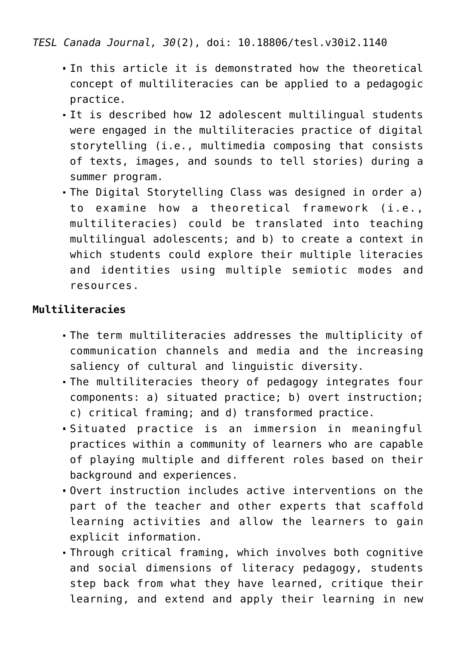*TESL Canada Journal, 30*(2), doi: 10.18806/tesl.v30i2.1140

- In this article it is demonstrated how the theoretical concept of multiliteracies can be applied to a pedagogic practice.
- It is described how 12 adolescent multilingual students were engaged in the multiliteracies practice of digital storytelling (i.e., multimedia composing that consists of texts, images, and sounds to tell stories) during a summer program.
- The Digital Storytelling Class was designed in order a) to examine how a theoretical framework (i.e., multiliteracies) could be translated into teaching multilingual adolescents; and b) to create a context in which students could explore their multiple literacies and identities using multiple semiotic modes and resources.

### **Multiliteracies**

- The term multiliteracies addresses the multiplicity of communication channels and media and the increasing saliency of cultural and linguistic diversity.
- The multiliteracies theory of pedagogy integrates four components: a) situated practice; b) overt instruction; c) critical framing; and d) transformed practice.
- Situated practice is an immersion in meaningful practices within a community of learners who are capable of playing multiple and different roles based on their background and experiences.
- Overt instruction includes active interventions on the part of the teacher and other experts that scaffold learning activities and allow the learners to gain explicit information.
- Through critical framing, which involves both cognitive and social dimensions of literacy pedagogy, students step back from what they have learned, critique their learning, and extend and apply their learning in new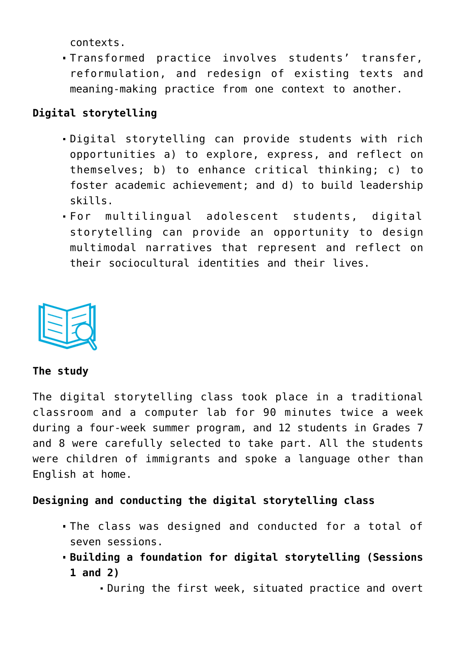contexts.

Transformed practice involves students' transfer, reformulation, and redesign of existing texts and meaning-making practice from one context to another.

# **Digital storytelling**

- Digital storytelling can provide students with rich opportunities a) to explore, express, and reflect on themselves; b) to enhance critical thinking; c) to foster academic achievement; and d) to build leadership skills.
- For multilingual adolescent students, digital storytelling can provide an opportunity to design multimodal narratives that represent and reflect on their sociocultural identities and their lives.



#### **The study**

The digital storytelling class took place in a traditional classroom and a computer lab for 90 minutes twice a week during a four-week summer program, and 12 students in Grades 7 and 8 were carefully selected to take part. All the students were children of immigrants and spoke a language other than English at home.

### **Designing and conducting the digital storytelling class**

- The class was designed and conducted for a total of seven sessions.
- **Building a foundation for digital storytelling (Sessions 1 and 2)**
	- During the first week, situated practice and overt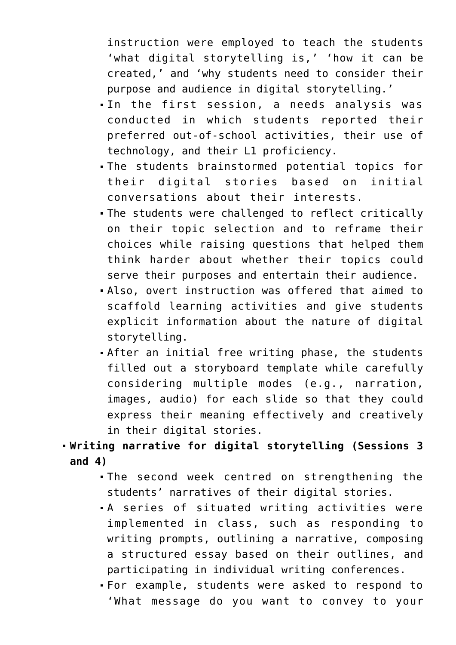instruction were employed to teach the students 'what digital storytelling is,' 'how it can be created,' and 'why students need to consider their purpose and audience in digital storytelling.'

- In the first session, a needs analysis was conducted in which students reported their preferred out-of-school activities, their use of technology, and their L1 proficiency.
- The students brainstormed potential topics for their digital stories based on initial conversations about their interests.
- The students were challenged to reflect critically on their topic selection and to reframe their choices while raising questions that helped them think harder about whether their topics could serve their purposes and entertain their audience.
- Also, overt instruction was offered that aimed to scaffold learning activities and give students explicit information about the nature of digital storytelling.
- After an initial free writing phase, the students filled out a storyboard template while carefully considering multiple modes (e.g., narration, images, audio) for each slide so that they could express their meaning effectively and creatively in their digital stories.

# **Writing narrative for digital storytelling (Sessions 3 and 4)**

- The second week centred on strengthening the students' narratives of their digital stories.
- A series of situated writing activities were implemented in class, such as responding to writing prompts, outlining a narrative, composing a structured essay based on their outlines, and participating in individual writing conferences.
- For example, students were asked to respond to 'What message do you want to convey to your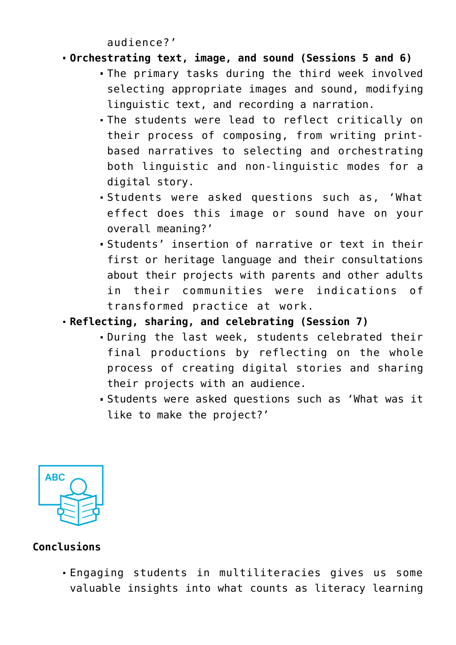audience?'

# **Orchestrating text, image, and sound (Sessions 5 and 6)**

- The primary tasks during the third week involved selecting appropriate images and sound, modifying linguistic text, and recording a narration.
- The students were lead to reflect critically on their process of composing, from writing printbased narratives to selecting and orchestrating both linguistic and non-linguistic modes for a digital story.
- Students were asked questions such as, 'What effect does this image or sound have on your overall meaning?'
- Students' insertion of narrative or text in their first or heritage language and their consultations about their projects with parents and other adults in their communities were indications of transformed practice at work.
- **Reflecting, sharing, and celebrating (Session 7)**
	- During the last week, students celebrated their final productions by reflecting on the whole process of creating digital stories and sharing their projects with an audience.
	- Students were asked questions such as 'What was it like to make the project?'



# **Conclusions**

Engaging students in multiliteracies gives us some valuable insights into what counts as literacy learning